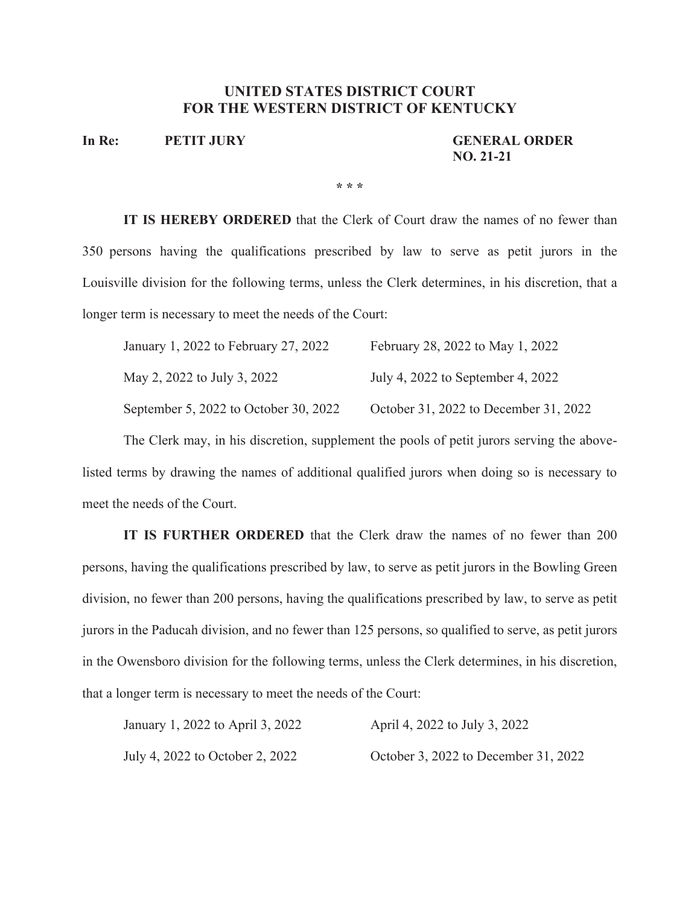## **UNITED STATES DISTRICT COURT FOR THE WESTERN DISTRICT OF KENTUCKY**

**In Re: PETIT JURY GENERAL ORDER** 

**NO. 21-21**

**\* \* \***

**IT IS HEREBY ORDERED** that the Clerk of Court draw the names of no fewer than 350 persons having the qualifications prescribed by law to serve as petit jurors in the Louisville division for the following terms, unless the Clerk determines, in his discretion, that a longer term is necessary to meet the needs of the Court:

| January 1, 2022 to February 27, 2022  | February 28, 2022 to May 1, 2022      |
|---------------------------------------|---------------------------------------|
| May 2, 2022 to July 3, 2022           | July 4, 2022 to September 4, 2022     |
| September 5, 2022 to October 30, 2022 | October 31, 2022 to December 31, 2022 |

The Clerk may, in his discretion, supplement the pools of petit jurors serving the abovelisted terms by drawing the names of additional qualified jurors when doing so is necessary to meet the needs of the Court.

**IT IS FURTHER ORDERED** that the Clerk draw the names of no fewer than 200 persons, having the qualifications prescribed by law, to serve as petit jurors in the Bowling Green division, no fewer than 200 persons, having the qualifications prescribed by law, to serve as petit jurors in the Paducah division, and no fewer than 125 persons, so qualified to serve, as petit jurors in the Owensboro division for the following terms, unless the Clerk determines, in his discretion, that a longer term is necessary to meet the needs of the Court:

| January 1, 2022 to April 3, 2022 | April 4, 2022 to July 3, 2022        |
|----------------------------------|--------------------------------------|
| July 4, 2022 to October 2, 2022  | October 3, 2022 to December 31, 2022 |